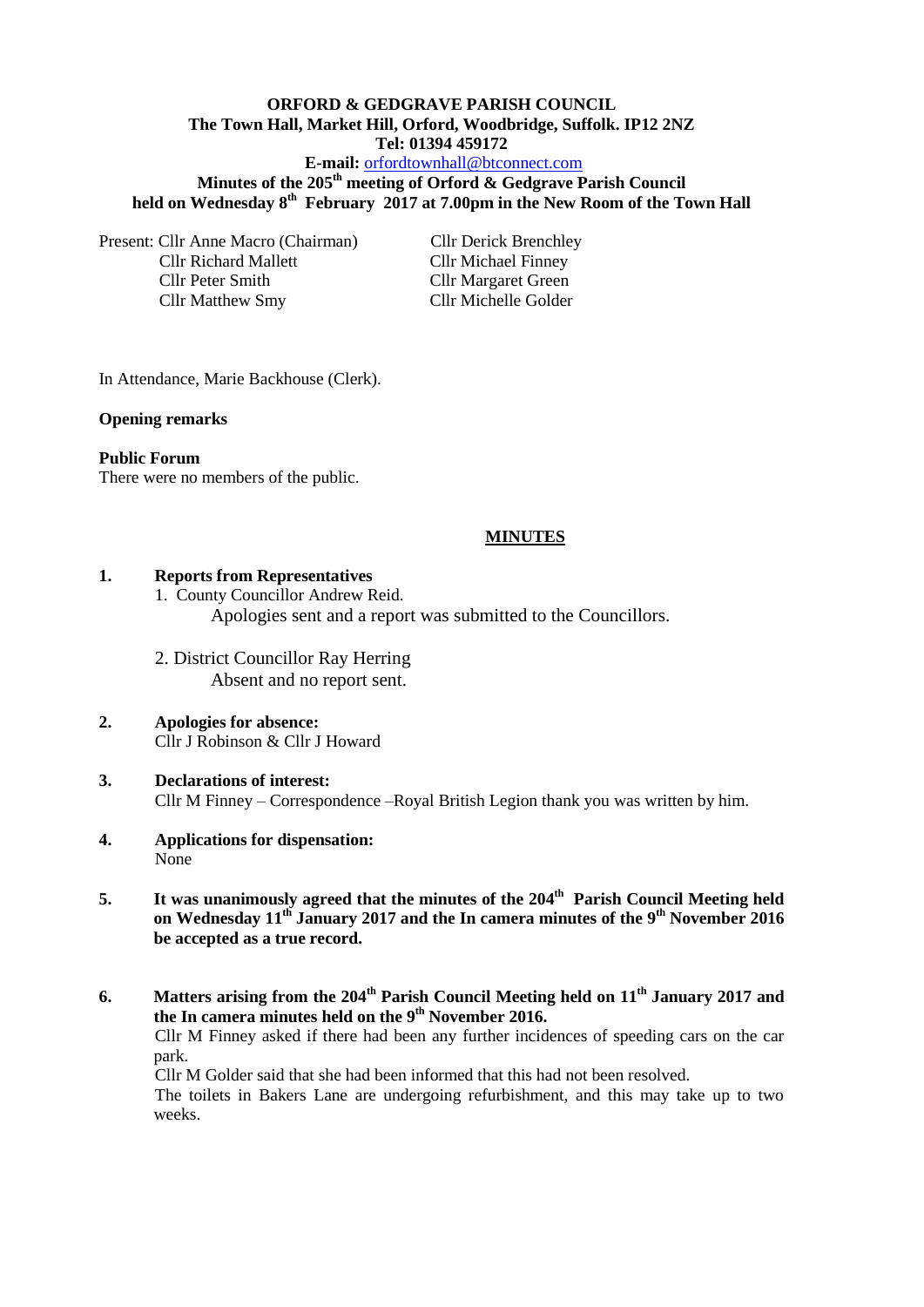# **ORFORD & GEDGRAVE PARISH COUNCIL The Town Hall, Market Hill, Orford, Woodbridge, Suffolk. IP12 2NZ Tel: 01394 459172**

**E-mail:** [orfordtownhall@btconnect.com](mailto:orfordtownhall@btconnect.com)

**Minutes of the 205th meeting of Orford & Gedgrave Parish Council held on Wednesday 8th February 2017 at 7.00pm in the New Room of the Town Hall**

Present: Cllr Anne Macro (Chairman) Cllr Derick Brenchley Cllr Richard Mallett Cllr Michael Finney Cllr Peter Smith Cllr Margaret Green Cllr Matthew Smy Cllr Michelle Golder

In Attendance, Marie Backhouse (Clerk).

#### **Opening remarks**

#### **Public Forum**

There were no members of the public.

#### **MINUTES**

#### **1. Reports from Representatives**

1. County Councillor Andrew Reid. Apologies sent and a report was submitted to the Councillors.

2. District Councillor Ray Herring Absent and no report sent.

#### **2. Apologies for absence:** Cllr J Robinson & Cllr J Howard

- **3. Declarations of interest:** Cllr M Finney – Correspondence –Royal British Legion thank you was written by him.
- **4. Applications for dispensation:** None
- **5. It was unanimously agreed that the minutes of the 204th Parish Council Meeting held on Wednesday 11th January 2017 and the In camera minutes of the 9th November 2016 be accepted as a true record.**
- **6. Matters arising from the 204th Parish Council Meeting held on 11th January 2017 and the In camera minutes held on the 9 th November 2016.**

Cllr M Finney asked if there had been any further incidences of speeding cars on the car park.

Cllr M Golder said that she had been informed that this had not been resolved.

The toilets in Bakers Lane are undergoing refurbishment, and this may take up to two weeks.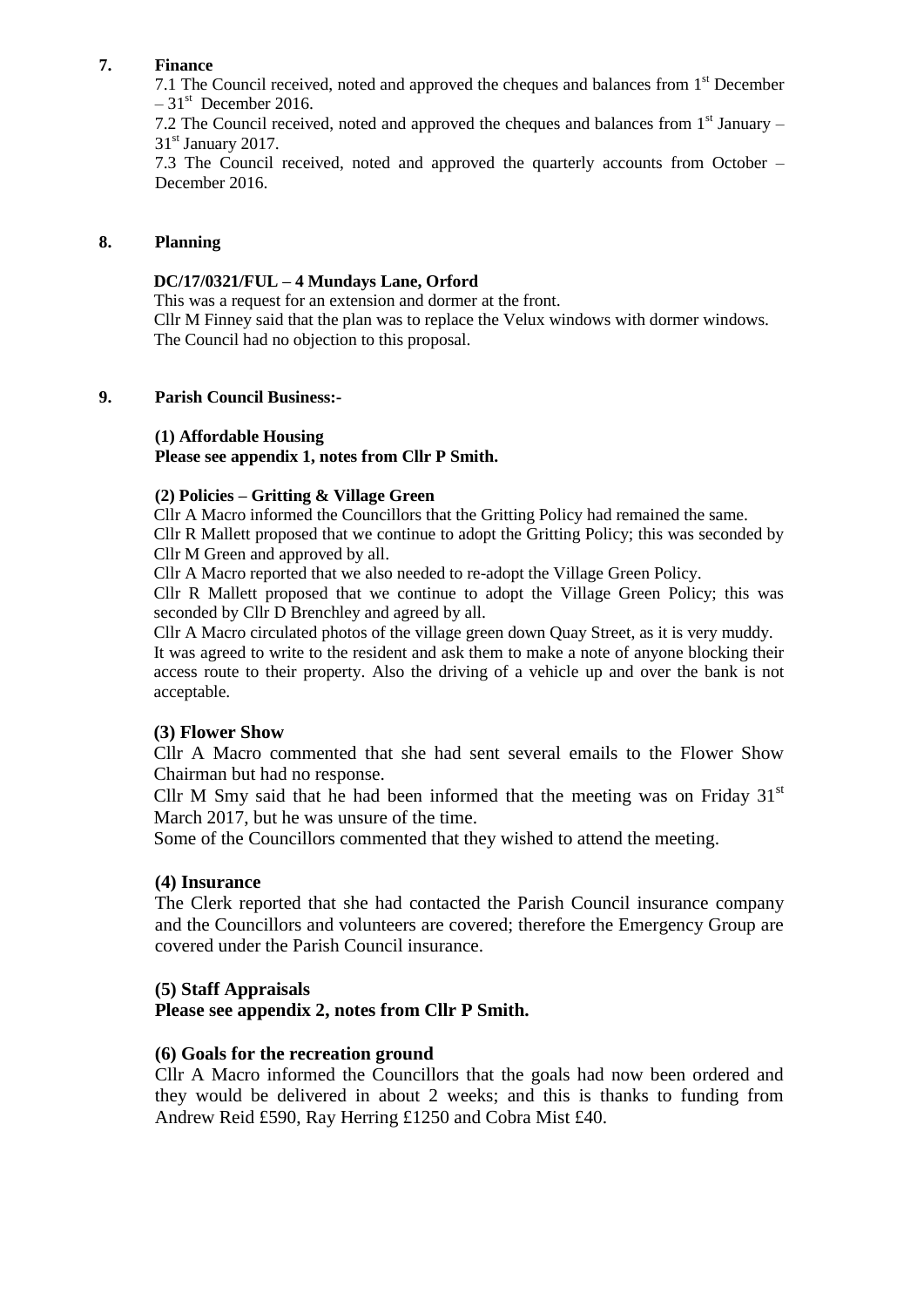## **7. Finance**

7.1 The Council received, noted and approved the cheques and balances from 1<sup>st</sup> December  $-31<sup>st</sup>$  December 2016.

7.2 The Council received, noted and approved the cheques and balances from  $1<sup>st</sup>$  January –  $31<sup>st</sup>$  January 2017.

7.3 The Council received, noted and approved the quarterly accounts from October – December 2016.

#### **8. Planning**

#### **DC/17/0321/FUL – 4 Mundays Lane, Orford**

This was a request for an extension and dormer at the front. Cllr M Finney said that the plan was to replace the Velux windows with dormer windows. The Council had no objection to this proposal.

#### **9. Parish Council Business:-**

## **(1) Affordable Housing**

**Please see appendix 1, notes from Cllr P Smith.**

#### **(2) Policies – Gritting & Village Green**

Cllr A Macro informed the Councillors that the Gritting Policy had remained the same. Cllr R Mallett proposed that we continue to adopt the Gritting Policy; this was seconded by Cllr M Green and approved by all.

Cllr A Macro reported that we also needed to re-adopt the Village Green Policy.

Cllr R Mallett proposed that we continue to adopt the Village Green Policy; this was seconded by Cllr D Brenchley and agreed by all.

Cllr A Macro circulated photos of the village green down Quay Street, as it is very muddy. It was agreed to write to the resident and ask them to make a note of anyone blocking their access route to their property. Also the driving of a vehicle up and over the bank is not acceptable.

## **(3) Flower Show**

Cllr A Macro commented that she had sent several emails to the Flower Show Chairman but had no response.

Cllr M Smy said that he had been informed that the meeting was on Friday  $31<sup>st</sup>$ March 2017, but he was unsure of the time.

Some of the Councillors commented that they wished to attend the meeting.

## **(4) Insurance**

The Clerk reported that she had contacted the Parish Council insurance company and the Councillors and volunteers are covered; therefore the Emergency Group are covered under the Parish Council insurance.

## **(5) Staff Appraisals**

## **Please see appendix 2, notes from Cllr P Smith.**

## **(6) Goals for the recreation ground**

Cllr A Macro informed the Councillors that the goals had now been ordered and they would be delivered in about 2 weeks; and this is thanks to funding from Andrew Reid £590, Ray Herring £1250 and Cobra Mist £40.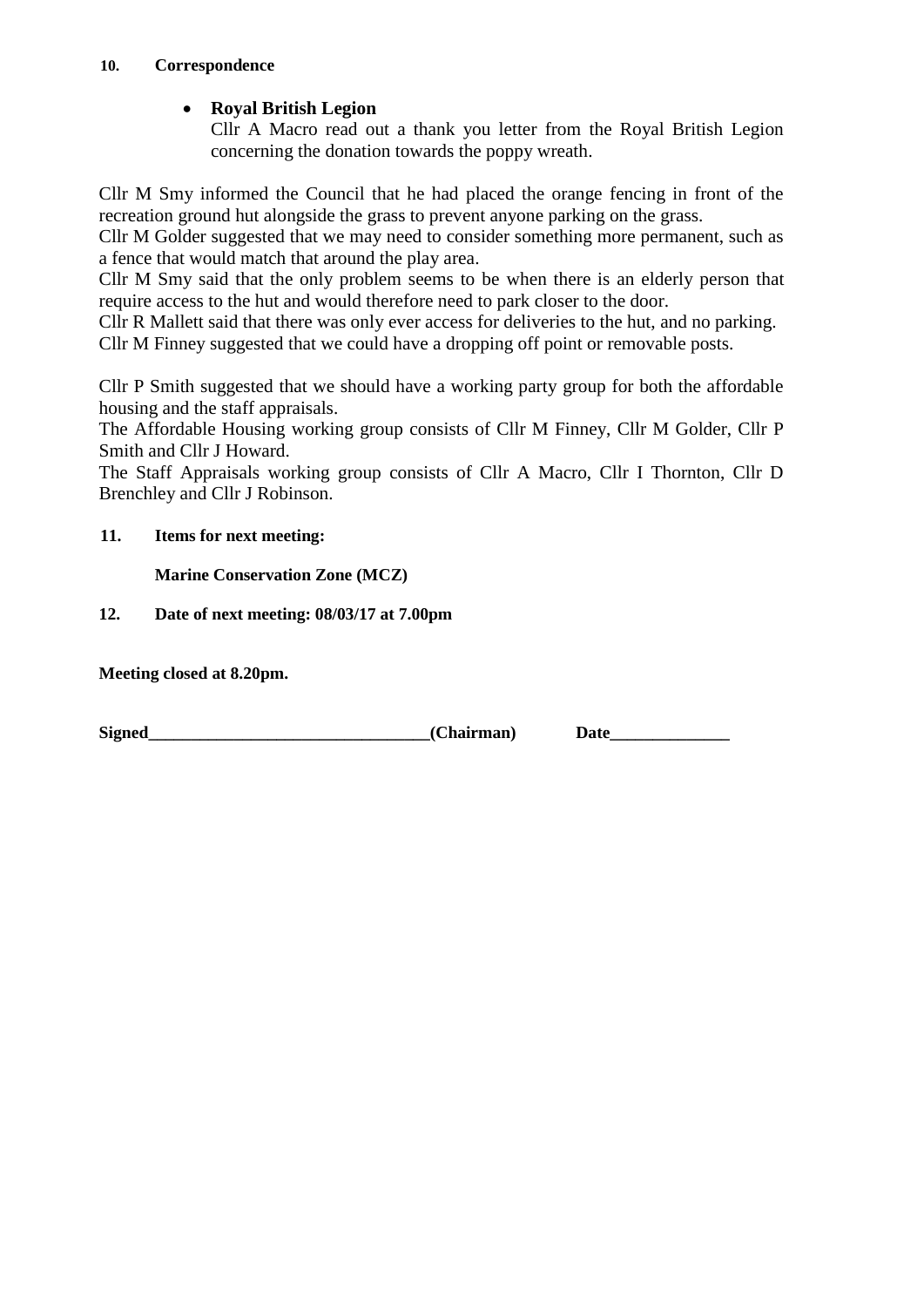## **10. Correspondence**

# **Royal British Legion**

Cllr A Macro read out a thank you letter from the Royal British Legion concerning the donation towards the poppy wreath.

Cllr M Smy informed the Council that he had placed the orange fencing in front of the recreation ground hut alongside the grass to prevent anyone parking on the grass.

Cllr M Golder suggested that we may need to consider something more permanent, such as a fence that would match that around the play area.

Cllr M Smy said that the only problem seems to be when there is an elderly person that require access to the hut and would therefore need to park closer to the door.

Cllr R Mallett said that there was only ever access for deliveries to the hut, and no parking. Cllr M Finney suggested that we could have a dropping off point or removable posts.

Cllr P Smith suggested that we should have a working party group for both the affordable housing and the staff appraisals.

The Affordable Housing working group consists of Cllr M Finney, Cllr M Golder, Cllr P Smith and Cllr J Howard.

The Staff Appraisals working group consists of Cllr A Macro, Cllr I Thornton, Cllr D Brenchley and Cllr J Robinson.

# **11. Items for next meeting:**

**Marine Conservation Zone (MCZ)**

**12. Date of next meeting: 08/03/17 at 7.00pm**

**Meeting closed at 8.20pm.**

**Signed** Date (Chairman) Date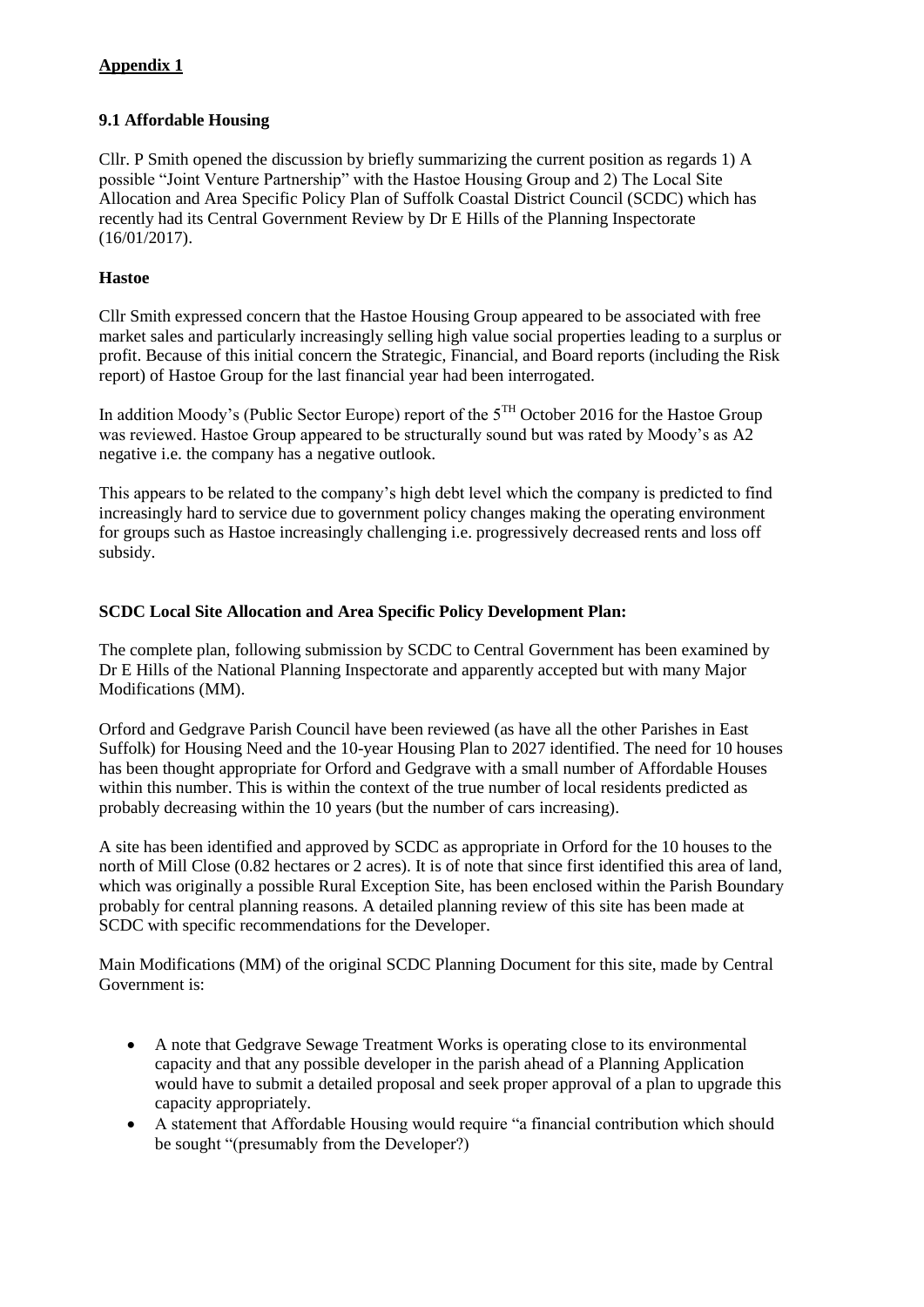# **Appendix 1**

#### **9.1 Affordable Housing**

Cllr. P Smith opened the discussion by briefly summarizing the current position as regards 1) A possible "Joint Venture Partnership" with the Hastoe Housing Group and 2) The Local Site Allocation and Area Specific Policy Plan of Suffolk Coastal District Council (SCDC) which has recently had its Central Government Review by Dr E Hills of the Planning Inspectorate (16/01/2017).

#### **Hastoe**

Cllr Smith expressed concern that the Hastoe Housing Group appeared to be associated with free market sales and particularly increasingly selling high value social properties leading to a surplus or profit. Because of this initial concern the Strategic, Financial, and Board reports (including the Risk report) of Hastoe Group for the last financial year had been interrogated.

In addition Moody's (Public Sector Europe) report of the  $5^{TH}$  October 2016 for the Hastoe Group was reviewed. Hastoe Group appeared to be structurally sound but was rated by Moody's as A2 negative i.e. the company has a negative outlook.

This appears to be related to the company's high debt level which the company is predicted to find increasingly hard to service due to government policy changes making the operating environment for groups such as Hastoe increasingly challenging i.e. progressively decreased rents and loss off subsidy.

#### **SCDC Local Site Allocation and Area Specific Policy Development Plan:**

The complete plan, following submission by SCDC to Central Government has been examined by Dr E Hills of the National Planning Inspectorate and apparently accepted but with many Major Modifications (MM).

Orford and Gedgrave Parish Council have been reviewed (as have all the other Parishes in East Suffolk) for Housing Need and the 10-year Housing Plan to 2027 identified. The need for 10 houses has been thought appropriate for Orford and Gedgrave with a small number of Affordable Houses within this number. This is within the context of the true number of local residents predicted as probably decreasing within the 10 years (but the number of cars increasing).

A site has been identified and approved by SCDC as appropriate in Orford for the 10 houses to the north of Mill Close (0.82 hectares or 2 acres). It is of note that since first identified this area of land, which was originally a possible Rural Exception Site, has been enclosed within the Parish Boundary probably for central planning reasons. A detailed planning review of this site has been made at SCDC with specific recommendations for the Developer.

Main Modifications (MM) of the original SCDC Planning Document for this site, made by Central Government is:

- A note that Gedgrave Sewage Treatment Works is operating close to its environmental capacity and that any possible developer in the parish ahead of a Planning Application would have to submit a detailed proposal and seek proper approval of a plan to upgrade this capacity appropriately.
- A statement that Affordable Housing would require "a financial contribution which should be sought "(presumably from the Developer?)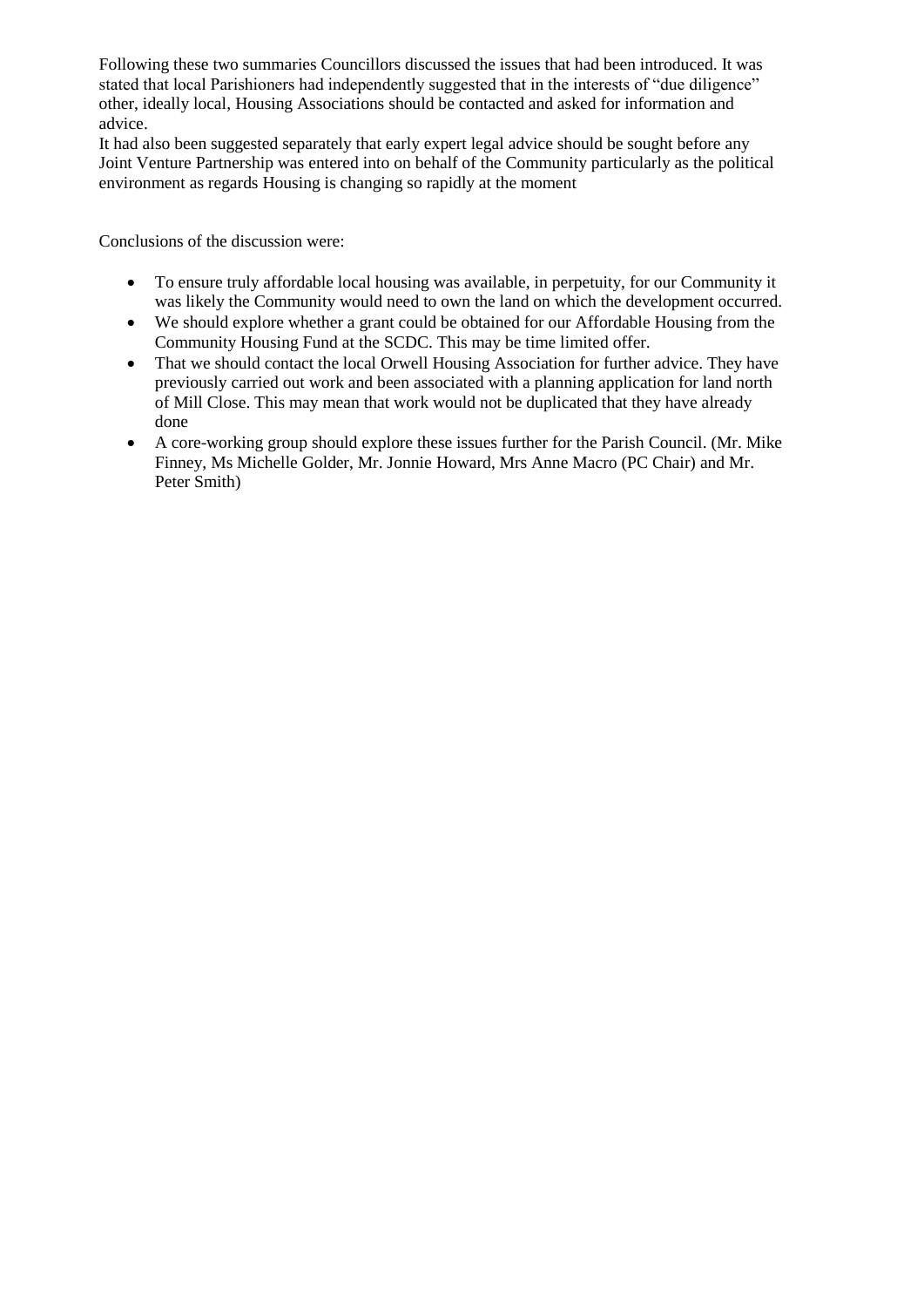Following these two summaries Councillors discussed the issues that had been introduced. It was stated that local Parishioners had independently suggested that in the interests of "due diligence" other, ideally local, Housing Associations should be contacted and asked for information and advice.

It had also been suggested separately that early expert legal advice should be sought before any Joint Venture Partnership was entered into on behalf of the Community particularly as the political environment as regards Housing is changing so rapidly at the moment

Conclusions of the discussion were:

- To ensure truly affordable local housing was available, in perpetuity, for our Community it was likely the Community would need to own the land on which the development occurred.
- We should explore whether a grant could be obtained for our Affordable Housing from the Community Housing Fund at the SCDC. This may be time limited offer.
- That we should contact the local Orwell Housing Association for further advice. They have previously carried out work and been associated with a planning application for land north of Mill Close. This may mean that work would not be duplicated that they have already done
- A core-working group should explore these issues further for the Parish Council. (Mr. Mike Finney, Ms Michelle Golder, Mr. Jonnie Howard, Mrs Anne Macro (PC Chair) and Mr. Peter Smith)